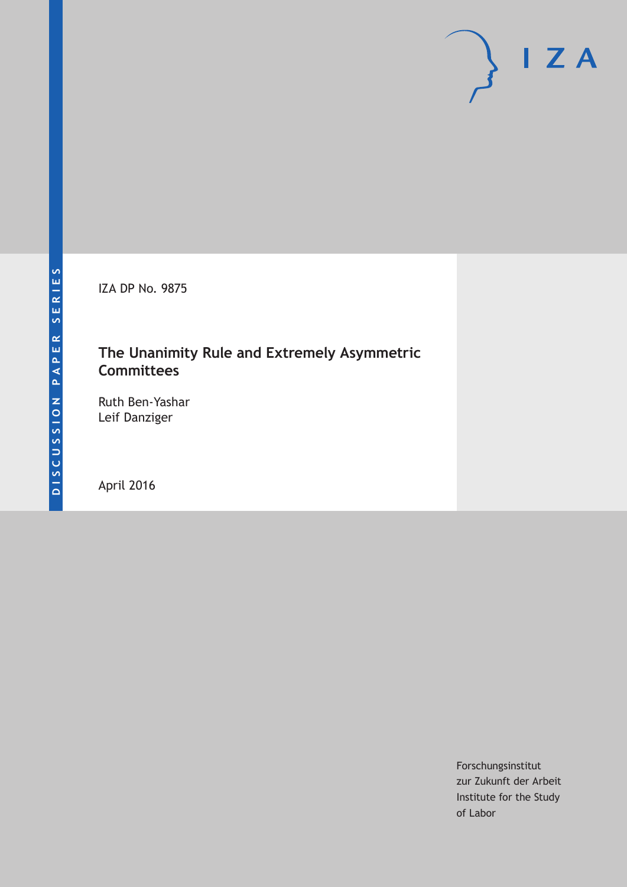IZA DP No. 9875

## **The Unanimity Rule and Extremely Asymmetric Committees**

Ruth Ben-Yashar Leif Danziger

April 2016

Forschungsinstitut zur Zukunft der Arbeit Institute for the Study of Labor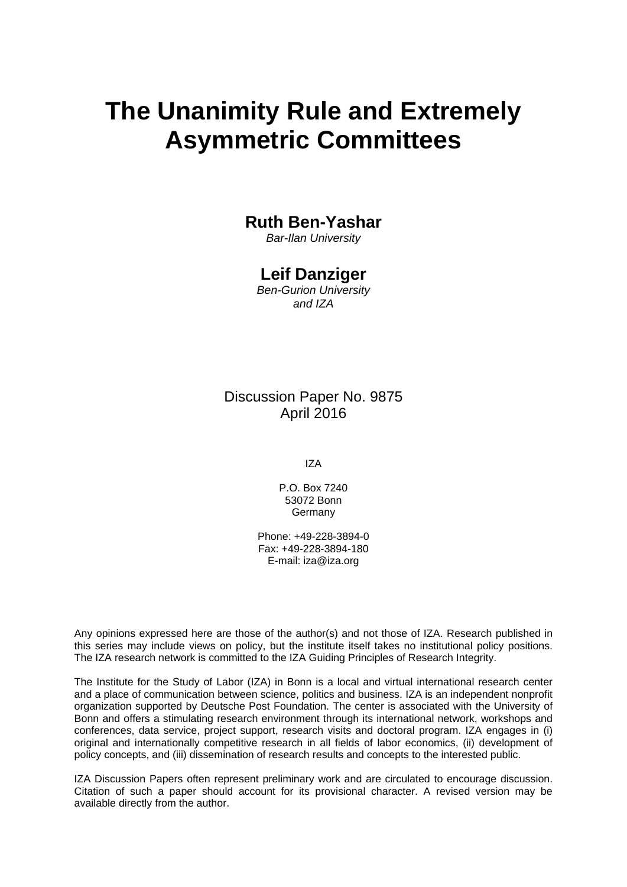# **The Unanimity Rule and Extremely Asymmetric Committees**

#### **Ruth Ben-Yashar**

*Bar-Ilan University* 

#### **Leif Danziger**

*Ben-Gurion University and IZA* 

Discussion Paper No. 9875 April 2016

IZA

P.O. Box 7240 53072 Bonn **Germany** 

Phone: +49-228-3894-0 Fax: +49-228-3894-180 E-mail: iza@iza.org

Any opinions expressed here are those of the author(s) and not those of IZA. Research published in this series may include views on policy, but the institute itself takes no institutional policy positions. The IZA research network is committed to the IZA Guiding Principles of Research Integrity.

The Institute for the Study of Labor (IZA) in Bonn is a local and virtual international research center and a place of communication between science, politics and business. IZA is an independent nonprofit organization supported by Deutsche Post Foundation. The center is associated with the University of Bonn and offers a stimulating research environment through its international network, workshops and conferences, data service, project support, research visits and doctoral program. IZA engages in (i) original and internationally competitive research in all fields of labor economics, (ii) development of policy concepts, and (iii) dissemination of research results and concepts to the interested public.

IZA Discussion Papers often represent preliminary work and are circulated to encourage discussion. Citation of such a paper should account for its provisional character. A revised version may be available directly from the author.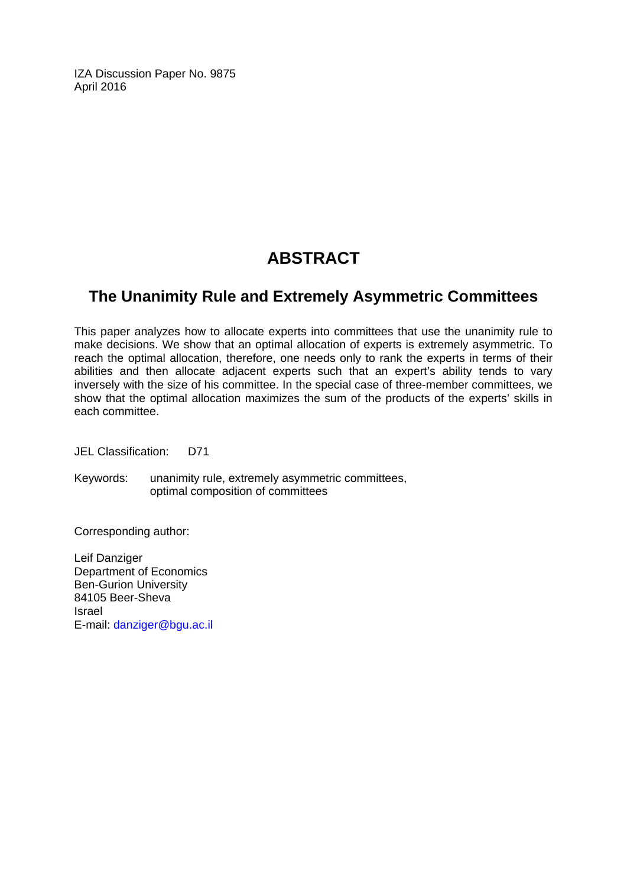IZA Discussion Paper No. 9875 April 2016

# **ABSTRACT**

#### **The Unanimity Rule and Extremely Asymmetric Committees**

This paper analyzes how to allocate experts into committees that use the unanimity rule to make decisions. We show that an optimal allocation of experts is extremely asymmetric. To reach the optimal allocation, therefore, one needs only to rank the experts in terms of their abilities and then allocate adjacent experts such that an expert's ability tends to vary inversely with the size of his committee. In the special case of three-member committees, we show that the optimal allocation maximizes the sum of the products of the experts' skills in each committee.

JEL Classification: D71

Keywords: unanimity rule, extremely asymmetric committees, optimal composition of committees

Corresponding author:

Leif Danziger Department of Economics Ben-Gurion University 84105 Beer-Sheva Israel E-mail: danziger@bgu.ac.il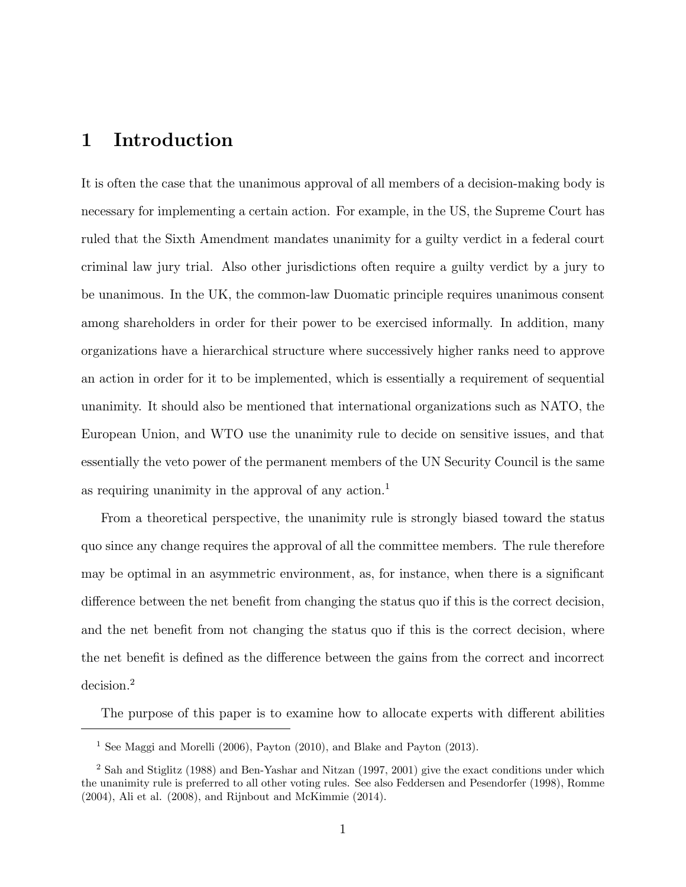#### 1 Introduction

It is often the case that the unanimous approval of all members of a decision-making body is necessary for implementing a certain action. For example, in the US, the Supreme Court has ruled that the Sixth Amendment mandates unanimity for a guilty verdict in a federal court criminal law jury trial. Also other jurisdictions often require a guilty verdict by a jury to be unanimous. In the UK, the common-law Duomatic principle requires unanimous consent among shareholders in order for their power to be exercised informally. In addition, many organizations have a hierarchical structure where successively higher ranks need to approve an action in order for it to be implemented, which is essentially a requirement of sequential unanimity. It should also be mentioned that international organizations such as NATO, the European Union, and WTO use the unanimity rule to decide on sensitive issues, and that essentially the veto power of the permanent members of the UN Security Council is the same as requiring unanimity in the approval of any action.<sup>1</sup>

From a theoretical perspective, the unanimity rule is strongly biased toward the status quo since any change requires the approval of all the committee members. The rule therefore may be optimal in an asymmetric environment, as, for instance, when there is a signicant difference between the net benefit from changing the status quo if this is the correct decision, and the net benefit from not changing the status quo if this is the correct decision, where the net benefit is defined as the difference between the gains from the correct and incorrect decision.<sup>2</sup>

The purpose of this paper is to examine how to allocate experts with different abilities

<sup>&</sup>lt;sup>1</sup> See Maggi and Morelli (2006), Payton (2010), and Blake and Payton (2013).

<sup>2</sup> Sah and Stiglitz (1988) and Ben-Yashar and Nitzan (1997, 2001) give the exact conditions under which the unanimity rule is preferred to all other voting rules. See also Feddersen and Pesendorfer (1998), Romme (2004), Ali et al. (2008), and Rijnbout and McKimmie (2014).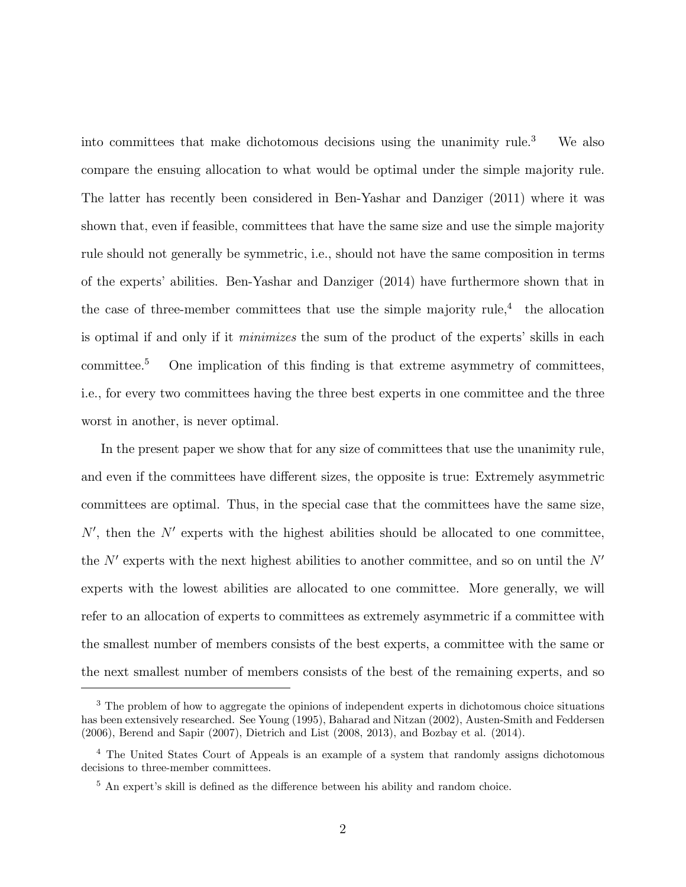into committees that make dichotomous decisions using the unanimity rule.<sup>3</sup> We also compare the ensuing allocation to what would be optimal under the simple majority rule. The latter has recently been considered in Ben-Yashar and Danziger (2011) where it was shown that, even if feasible, committees that have the same size and use the simple majority rule should not generally be symmetric, i.e., should not have the same composition in terms of the experts' abilities. Ben-Yashar and Danziger (2014) have furthermore shown that in the case of three-member committees that use the simple majority rule,<sup>4</sup> the allocation is optimal if and only if it minimizes the sum of the product of the experts' skills in each committee.<sup>5</sup> One implication of this finding is that extreme asymmetry of committees, i.e., for every two committees having the three best experts in one committee and the three worst in another, is never optimal.

In the present paper we show that for any size of committees that use the unanimity rule, and even if the committees have different sizes, the opposite is true: Extremely asymmetric committees are optimal. Thus, in the special case that the committees have the same size,  $N'$ , then the  $N'$  experts with the highest abilities should be allocated to one committee, the  $N'$  experts with the next highest abilities to another committee, and so on until the  $N'$ experts with the lowest abilities are allocated to one committee. More generally, we will refer to an allocation of experts to committees as extremely asymmetric if a committee with the smallest number of members consists of the best experts, a committee with the same or the next smallest number of members consists of the best of the remaining experts, and so

<sup>3</sup> The problem of how to aggregate the opinions of independent experts in dichotomous choice situations has been extensively researched. See Young (1995), Baharad and Nitzan (2002), Austen-Smith and Feddersen (2006), Berend and Sapir (2007), Dietrich and List (2008, 2013), and Bozbay et al. (2014).

<sup>4</sup> The United States Court of Appeals is an example of a system that randomly assigns dichotomous decisions to three-member committees.

 $5$  An expert's skill is defined as the difference between his ability and random choice.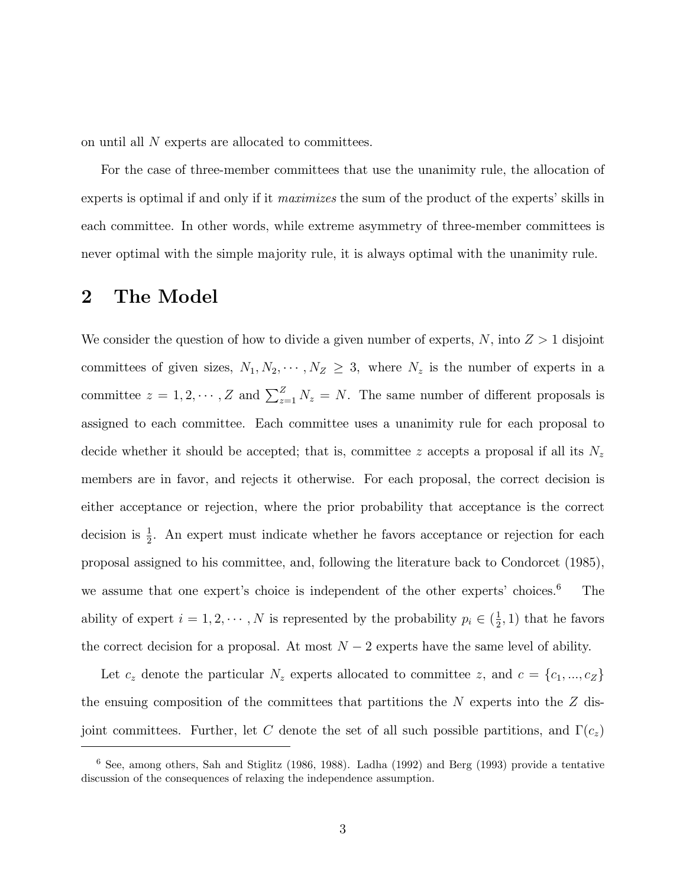on until all N experts are allocated to committees.

For the case of three-member committees that use the unanimity rule, the allocation of experts is optimal if and only if it maximizes the sum of the product of the experts' skills in each committee. In other words, while extreme asymmetry of three-member committees is never optimal with the simple majority rule, it is always optimal with the unanimity rule.

#### 2 The Model

We consider the question of how to divide a given number of experts,  $N$ , into  $Z > 1$  disjoint committees of given sizes,  $N_1, N_2, \cdots, N_Z \geq 3$ , where  $N_z$  is the number of experts in a committee  $z = 1, 2, \dots, Z$  and  $\sum_{z=1}^{Z} N_z = N$ . The same number of different proposals is assigned to each committee. Each committee uses a unanimity rule for each proposal to decide whether it should be accepted; that is, committee z accepts a proposal if all its  $N_z$ members are in favor, and rejects it otherwise. For each proposal, the correct decision is either acceptance or rejection, where the prior probability that acceptance is the correct decision is  $\frac{1}{2}$ . An expert must indicate whether he favors acceptance or rejection for each proposal assigned to his committee, and, following the literature back to Condorcet (1985), we assume that one expert's choice is independent of the other experts' choices.<sup>6</sup> The ability of expert  $i = 1, 2, \dots, N$  is represented by the probability  $p_i \in (\frac{1}{2})$  $(\frac{1}{2}, 1)$  that he favors the correct decision for a proposal. At most  $N-2$  experts have the same level of ability.

Let  $c_z$  denote the particular  $N_z$  experts allocated to committee z, and  $c = \{c_1, ..., c_Z\}$ the ensuing composition of the committees that partitions the  $N$  experts into the  $Z$  disjoint committees. Further, let C denote the set of all such possible partitions, and  $\Gamma(c_z)$ 

<sup>6</sup> See, among others, Sah and Stiglitz (1986, 1988). Ladha (1992) and Berg (1993) provide a tentative discussion of the consequences of relaxing the independence assumption.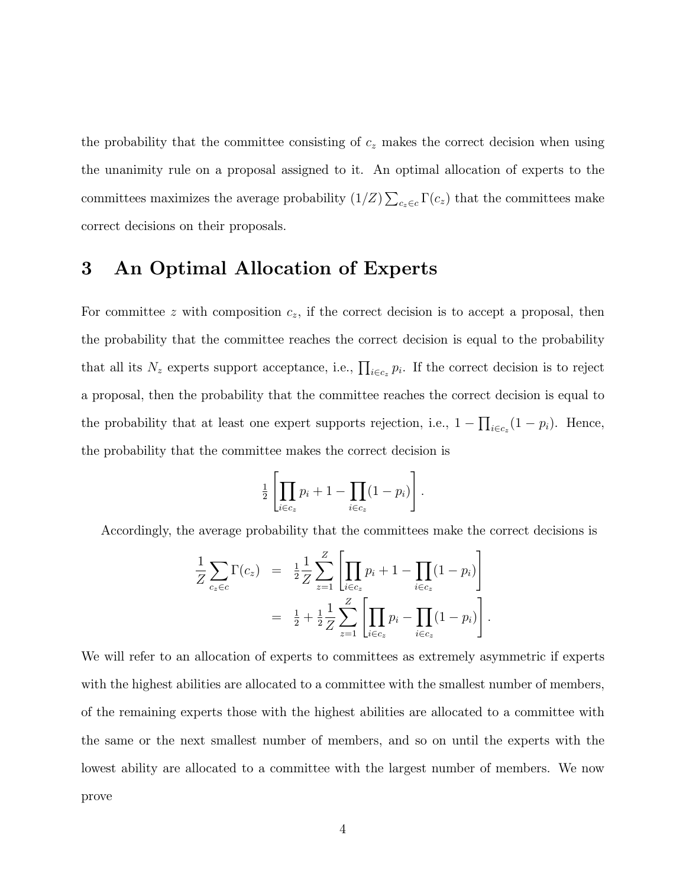the probability that the committee consisting of  $c_z$  makes the correct decision when using the unanimity rule on a proposal assigned to it. An optimal allocation of experts to the committees maximizes the average probability  $(1/Z) \sum_{c_z \in c} \Gamma(c_z)$  that the committees make correct decisions on their proposals.

#### 3 An Optimal Allocation of Experts

For committee z with composition  $c_z$ , if the correct decision is to accept a proposal, then the probability that the committee reaches the correct decision is equal to the probability that all its  $N_z$  experts support acceptance, i.e.,  $\prod_{i\in c_z} p_i$ . If the correct decision is to reject a proposal, then the probability that the committee reaches the correct decision is equal to the probability that at least one expert supports rejection, i.e.,  $1 - \prod_{i \in c_z} (1 - p_i)$ . Hence, the probability that the committee makes the correct decision is

$$
\frac{1}{2} \left[ \prod_{i \in c_z} p_i + 1 - \prod_{i \in c_z} (1 - p_i) \right].
$$

Accordingly, the average probability that the committees make the correct decisions is

$$
\frac{1}{Z} \sum_{c_z \in c} \Gamma(c_z) = \frac{1}{2} \frac{1}{Z} \sum_{z=1}^{Z} \left[ \prod_{i \in c_z} p_i + 1 - \prod_{i \in c_z} (1 - p_i) \right]
$$

$$
= \frac{1}{2} + \frac{1}{2} \sum_{z=1}^{Z} \left[ \prod_{i \in c_z} p_i - \prod_{i \in c_z} (1 - p_i) \right].
$$

We will refer to an allocation of experts to committees as extremely asymmetric if experts with the highest abilities are allocated to a committee with the smallest number of members, of the remaining experts those with the highest abilities are allocated to a committee with the same or the next smallest number of members, and so on until the experts with the lowest ability are allocated to a committee with the largest number of members. We now prove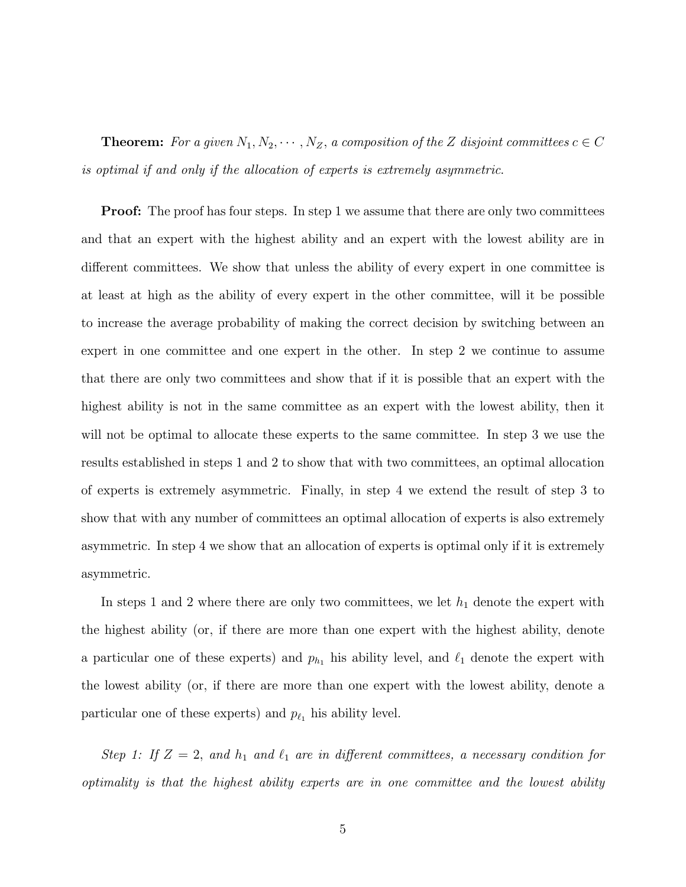**Theorem:** For a given  $N_1, N_2, \cdots, N_Z$ , a composition of the Z disjoint committees  $c \in C$ is optimal if and only if the allocation of experts is extremely asymmetric.

**Proof:** The proof has four steps. In step 1 we assume that there are only two committees and that an expert with the highest ability and an expert with the lowest ability are in different committees. We show that unless the ability of every expert in one committee is at least at high as the ability of every expert in the other committee, will it be possible to increase the average probability of making the correct decision by switching between an expert in one committee and one expert in the other. In step 2 we continue to assume that there are only two committees and show that if it is possible that an expert with the highest ability is not in the same committee as an expert with the lowest ability, then it will not be optimal to allocate these experts to the same committee. In step 3 we use the results established in steps 1 and 2 to show that with two committees, an optimal allocation of experts is extremely asymmetric. Finally, in step 4 we extend the result of step 3 to show that with any number of committees an optimal allocation of experts is also extremely asymmetric. In step 4 we show that an allocation of experts is optimal only if it is extremely asymmetric.

In steps 1 and 2 where there are only two committees, we let  $h_1$  denote the expert with the highest ability (or, if there are more than one expert with the highest ability, denote a particular one of these experts) and  $p_{h_1}$  his ability level, and  $\ell_1$  denote the expert with the lowest ability (or, if there are more than one expert with the lowest ability, denote a particular one of these experts) and  $p_{\ell_1}$  his ability level.

Step 1: If  $Z = 2$ , and  $h_1$  and  $\ell_1$  are in different committees, a necessary condition for optimality is that the highest ability experts are in one committee and the lowest ability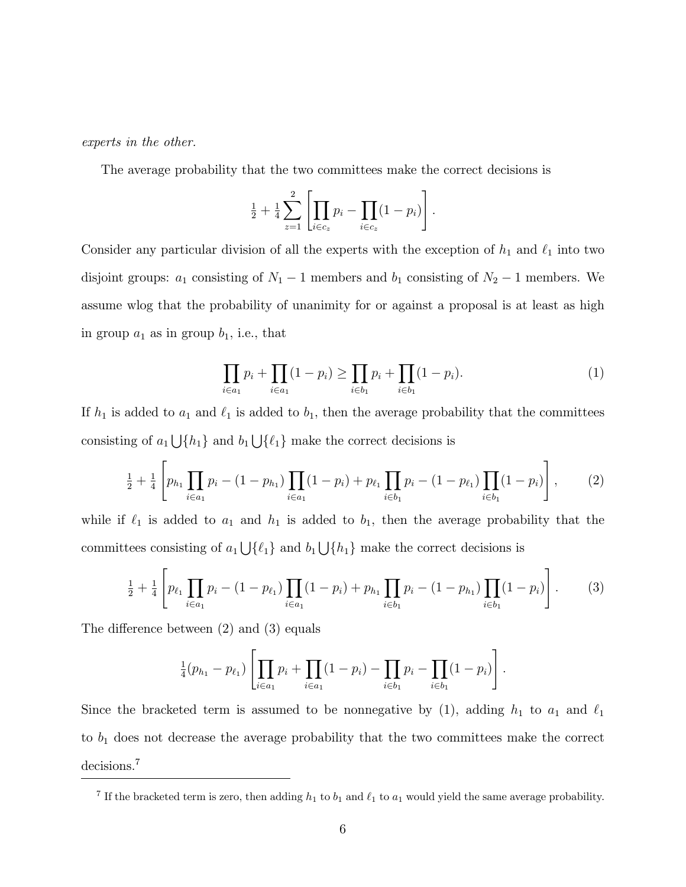experts in the other.

The average probability that the two committees make the correct decisions is

$$
\frac{1}{2} + \frac{1}{4} \sum_{z=1}^{2} \left[ \prod_{i \in c_z} p_i - \prod_{i \in c_z} (1 - p_i) \right].
$$

Consider any particular division of all the experts with the exception of  $h_1$  and  $\ell_1$  into two disjoint groups:  $a_1$  consisting of  $N_1 - 1$  members and  $b_1$  consisting of  $N_2 - 1$  members. We assume wlog that the probability of unanimity for or against a proposal is at least as high in group  $a_1$  as in group  $b_1$ , i.e., that

$$
\prod_{i \in a_1} p_i + \prod_{i \in a_1} (1 - p_i) \ge \prod_{i \in b_1} p_i + \prod_{i \in b_1} (1 - p_i). \tag{1}
$$

If  $h_1$  is added to  $a_1$  and  $\ell_1$  is added to  $b_1$ , then the average probability that the committees consisting of  $a_1 \bigcup \{h_1\}$  and  $b_1 \bigcup \{\ell_1\}$  make the correct decisions is

$$
\frac{1}{2} + \frac{1}{4} \left[ p_{h_1} \prod_{i \in a_1} p_i - (1 - p_{h_1}) \prod_{i \in a_1} (1 - p_i) + p_{\ell_1} \prod_{i \in b_1} p_i - (1 - p_{\ell_1}) \prod_{i \in b_1} (1 - p_i) \right],
$$
 (2)

while if  $\ell_1$  is added to  $a_1$  and  $h_1$  is added to  $b_1$ , then the average probability that the committees consisting of  $a_1 \bigcup \{\ell_1\}$  and  $b_1 \bigcup \{h_1\}$  make the correct decisions is

$$
\frac{1}{2} + \frac{1}{4} \left[ p_{\ell_1} \prod_{i \in a_1} p_i - (1 - p_{\ell_1}) \prod_{i \in a_1} (1 - p_i) + p_{h_1} \prod_{i \in b_1} p_i - (1 - p_{h_1}) \prod_{i \in b_1} (1 - p_i) \right].
$$
 (3)

The difference between  $(2)$  and  $(3)$  equals

$$
\frac{1}{4}(p_{h_1}-p_{\ell_1})\left[\prod_{i\in a_1}p_i+\prod_{i\in a_1}(1-p_i)-\prod_{i\in b_1}p_i-\prod_{i\in b_1}(1-p_i)\right].
$$

Since the bracketed term is assumed to be nonnegative by (1), adding  $h_1$  to  $a_1$  and  $\ell_1$ to  $b_1$  does not decrease the average probability that the two committees make the correct decisions.<sup>7</sup>

<sup>&</sup>lt;sup>7</sup> If the bracketed term is zero, then adding  $h_1$  to  $b_1$  and  $\ell_1$  to  $a_1$  would yield the same average probability.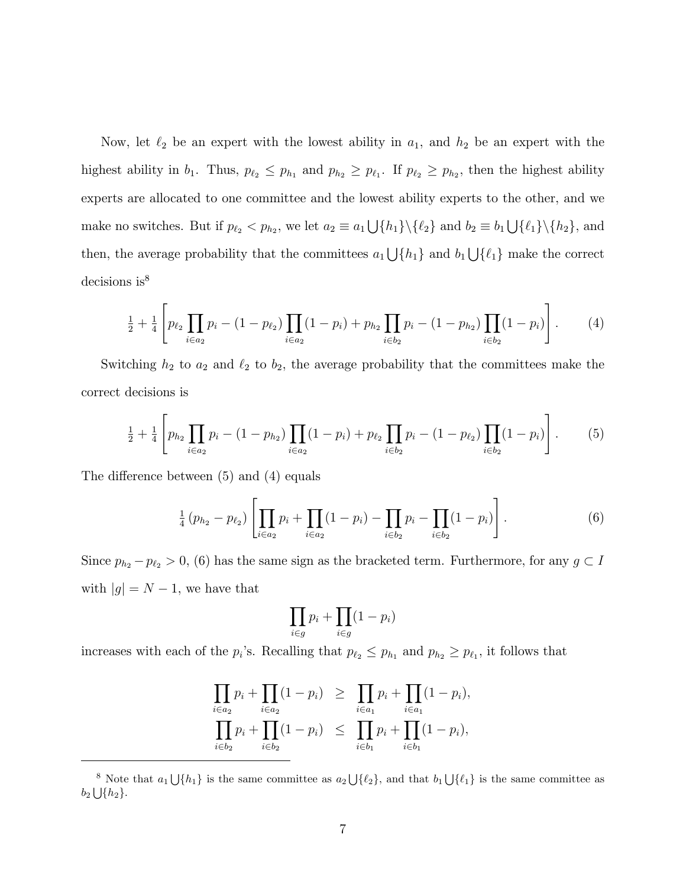Now, let  $\ell_2$  be an expert with the lowest ability in  $a_1$ , and  $h_2$  be an expert with the highest ability in  $b_1$ . Thus,  $p_{\ell_2} \leq p_{h_1}$  and  $p_{h_2} \geq p_{\ell_1}$ . If  $p_{\ell_2} \geq p_{h_2}$ , then the highest ability experts are allocated to one committee and the lowest ability experts to the other, and we make no switches. But if  $p_{\ell_2} < p_{h_2}$ , we let  $a_2 \equiv a_1 \bigcup \{h_1\} \setminus \{\ell_2\}$  and  $b_2 \equiv b_1 \bigcup \{\ell_1\} \setminus \{h_2\}$ , and then, the average probability that the committees  $a_1 \bigcup \{h_1\}$  and  $b_1 \bigcup \{\ell_1\}$  make the correct decisions is<sup>8</sup>

$$
\frac{1}{2} + \frac{1}{4} \left[ p_{\ell_2} \prod_{i \in a_2} p_i - (1 - p_{\ell_2}) \prod_{i \in a_2} (1 - p_i) + p_{h_2} \prod_{i \in b_2} p_i - (1 - p_{h_2}) \prod_{i \in b_2} (1 - p_i) \right].
$$
 (4)

Switching  $h_2$  to  $a_2$  and  $\ell_2$  to  $b_2$ , the average probability that the committees make the correct decisions is

$$
\frac{1}{2} + \frac{1}{4} \left[ p_{h_2} \prod_{i \in a_2} p_i - (1 - p_{h_2}) \prod_{i \in a_2} (1 - p_i) + p_{\ell_2} \prod_{i \in b_2} p_i - (1 - p_{\ell_2}) \prod_{i \in b_2} (1 - p_i) \right].
$$
 (5)

The difference between  $(5)$  and  $(4)$  equals

$$
\frac{1}{4} (p_{h_2} - p_{\ell_2}) \left[ \prod_{i \in a_2} p_i + \prod_{i \in a_2} (1 - p_i) - \prod_{i \in b_2} p_i - \prod_{i \in b_2} (1 - p_i) \right]. \tag{6}
$$

Since  $p_{h_2} - p_{\ell_2} > 0$ , (6) has the same sign as the bracketed term. Furthermore, for any  $g \subset I$ with  $|g| = N - 1$ , we have that

$$
\prod_{i\in g} p_i + \prod_{i\in g} (1-p_i)
$$

increases with each of the  $p_i$ 's. Recalling that  $p_{\ell_2} \leq p_{h_1}$  and  $p_{h_2} \geq p_{\ell_1}$ , it follows that

$$
\prod_{i \in a_2} p_i + \prod_{i \in a_2} (1 - p_i) \ge \prod_{i \in a_1} p_i + \prod_{i \in a_1} (1 - p_i),
$$
  

$$
\prod_{i \in b_2} p_i + \prod_{i \in b_2} (1 - p_i) \le \prod_{i \in b_1} p_i + \prod_{i \in b_1} (1 - p_i),
$$

<sup>&</sup>lt;sup>8</sup> Note that  $a_1 \bigcup \{h_1\}$  is the same committee as  $a_2 \bigcup \{\ell_2\}$ , and that  $b_1 \bigcup \{\ell_1\}$  is the same committee as  $b_2 \bigcup \{h_2\}.$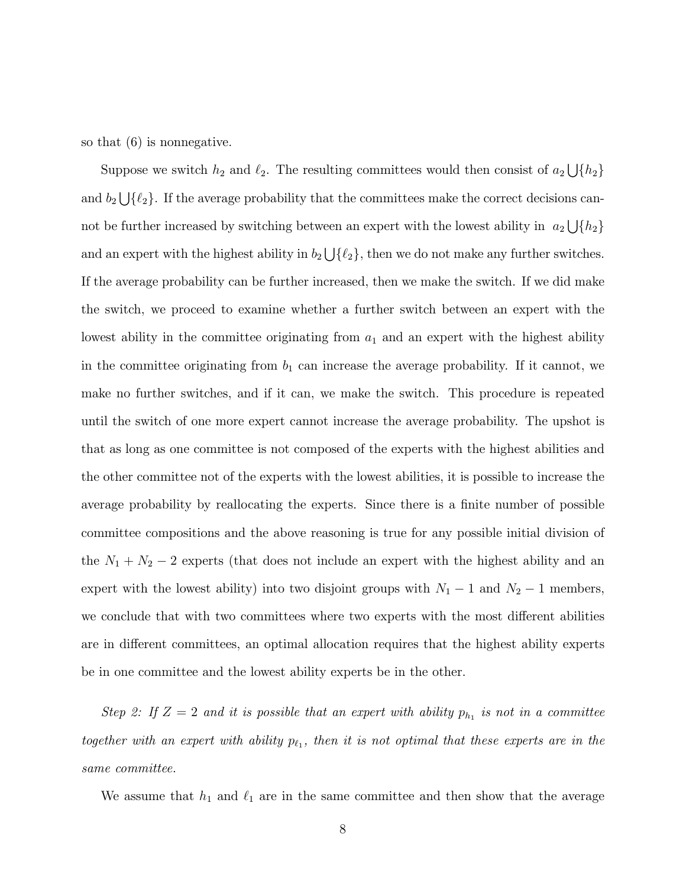so that (6) is nonnegative.

Suppose we switch  $h_2$  and  $\ell_2$ . The resulting committees would then consist of  $a_2 \bigcup \{h_2\}$ and  $b_2 \bigcup \{\ell_2\}$ . If the average probability that the committees make the correct decisions cannot be further increased by switching between an expert with the lowest ability in  $a_2 \bigcup \{h_2\}$ and an expert with the highest ability in  $b_2 \bigcup \{\ell_2\}$ , then we do not make any further switches. If the average probability can be further increased, then we make the switch. If we did make the switch, we proceed to examine whether a further switch between an expert with the lowest ability in the committee originating from  $a_1$  and an expert with the highest ability in the committee originating from  $b_1$  can increase the average probability. If it cannot, we make no further switches, and if it can, we make the switch. This procedure is repeated until the switch of one more expert cannot increase the average probability. The upshot is that as long as one committee is not composed of the experts with the highest abilities and the other committee not of the experts with the lowest abilities, it is possible to increase the average probability by reallocating the experts. Since there is a finite number of possible committee compositions and the above reasoning is true for any possible initial division of the  $N_1 + N_2 - 2$  experts (that does not include an expert with the highest ability and an expert with the lowest ability) into two disjoint groups with  $N_1 - 1$  and  $N_2 - 1$  members, we conclude that with two committees where two experts with the most different abilities are in different committees, an optimal allocation requires that the highest ability experts be in one committee and the lowest ability experts be in the other.

Step 2: If  $Z = 2$  and it is possible that an expert with ability  $p_{h_1}$  is not in a committee together with an expert with ability  $p_{\ell_1}$ , then it is not optimal that these experts are in the same committee.

We assume that  $h_1$  and  $\ell_1$  are in the same committee and then show that the average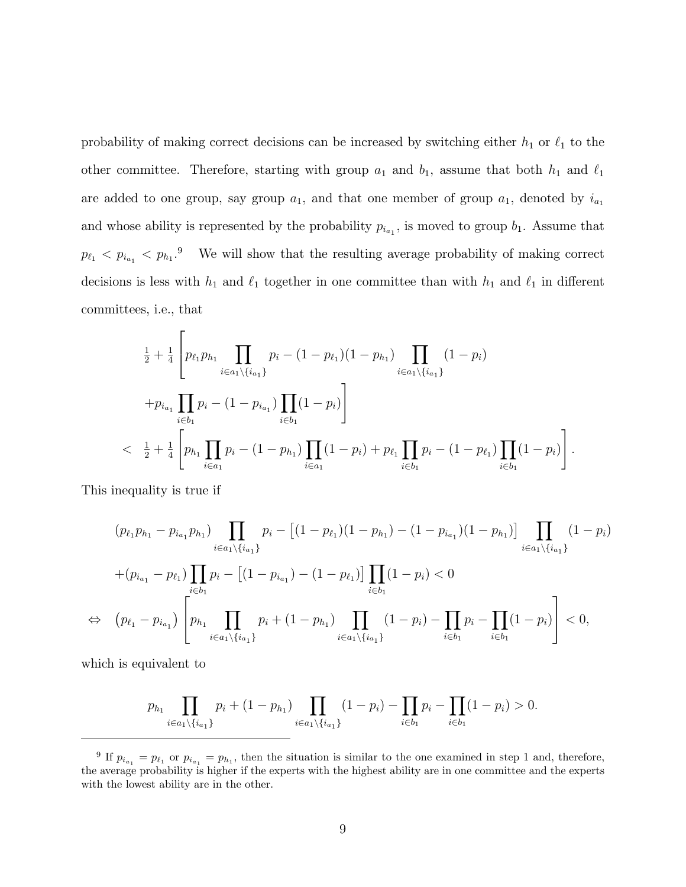probability of making correct decisions can be increased by switching either  $h_1$  or  $\ell_1$  to the other committee. Therefore, starting with group  $a_1$  and  $b_1$ , assume that both  $h_1$  and  $\ell_1$ are added to one group, say group  $a_1$ , and that one member of group  $a_1$ , denoted by  $i_{a_1}$ and whose ability is represented by the probability  $p_{i_{a_1}}$ , is moved to group  $b_1$ . Assume that  $p_{\ell_1} < p_{i_{a_1}} < p_{h_1}$ <sup>9</sup> We will show that the resulting average probability of making correct decisions is less with  $h_1$  and  $\ell_1$  together in one committee than with  $h_1$  and  $\ell_1$  in different committees, i.e., that

$$
\frac{1}{2} + \frac{1}{4} \left[ p_{\ell_1} p_{h_1} \prod_{i \in a_1 \setminus \{i_{a_1}\}} p_i - (1 - p_{\ell_1})(1 - p_{h_1}) \prod_{i \in a_1 \setminus \{i_{a_1}\}} (1 - p_i) \right]
$$
  
+ 
$$
p_{i_{a_1}} \prod_{i \in b_1} p_i - (1 - p_{i_{a_1}}) \prod_{i \in b_1} (1 - p_i) \right]
$$
  

$$
< \frac{1}{2} + \frac{1}{4} \left[ p_{h_1} \prod_{i \in a_1} p_i - (1 - p_{h_1}) \prod_{i \in a_1} (1 - p_i) + p_{\ell_1} \prod_{i \in b_1} p_i - (1 - p_{\ell_1}) \prod_{i \in b_1} (1 - p_i) \right].
$$

This inequality is true if

$$
(p_{\ell_1}p_{h_1} - p_{i_{a_1}}p_{h_1}) \prod_{i \in a_1 \setminus \{i_{a_1}\}} p_i - [(1 - p_{\ell_1})(1 - p_{h_1}) - (1 - p_{i_{a_1}})(1 - p_{h_1})] \prod_{i \in a_1 \setminus \{i_{a_1}\}} (1 - p_i)
$$
  
+
$$
(p_{i_{a_1}} - p_{\ell_1}) \prod_{i \in b_1} p_i - [(1 - p_{i_{a_1}}) - (1 - p_{\ell_1})] \prod_{i \in b_1} (1 - p_i) < 0
$$
  

$$
\Leftrightarrow (p_{\ell_1} - p_{i_{a_1}}) \left[ p_{h_1} \prod_{i \in a_1 \setminus \{i_{a_1}\}} p_i + (1 - p_{h_1}) \prod_{i \in a_1 \setminus \{i_{a_1}\}} (1 - p_i) - \prod_{i \in b_1} p_i - \prod_{i \in b_1} (1 - p_i) \right] < 0,
$$

which is equivalent to

$$
p_{h_1} \prod_{i \in a_1 \setminus \{i_{a_1}\}} p_i + (1 - p_{h_1}) \prod_{i \in a_1 \setminus \{i_{a_1}\}} (1 - p_i) - \prod_{i \in b_1} p_i - \prod_{i \in b_1} (1 - p_i) > 0.
$$

<sup>&</sup>lt;sup>9</sup> If  $p_{i_{a_1}} = p_{\ell_1}$  or  $p_{i_{a_1}} = p_{h_1}$ , then the situation is similar to the one examined in step 1 and, therefore, the average probability is higher if the experts with the highest ability are in one committee and the experts with the lowest ability are in the other.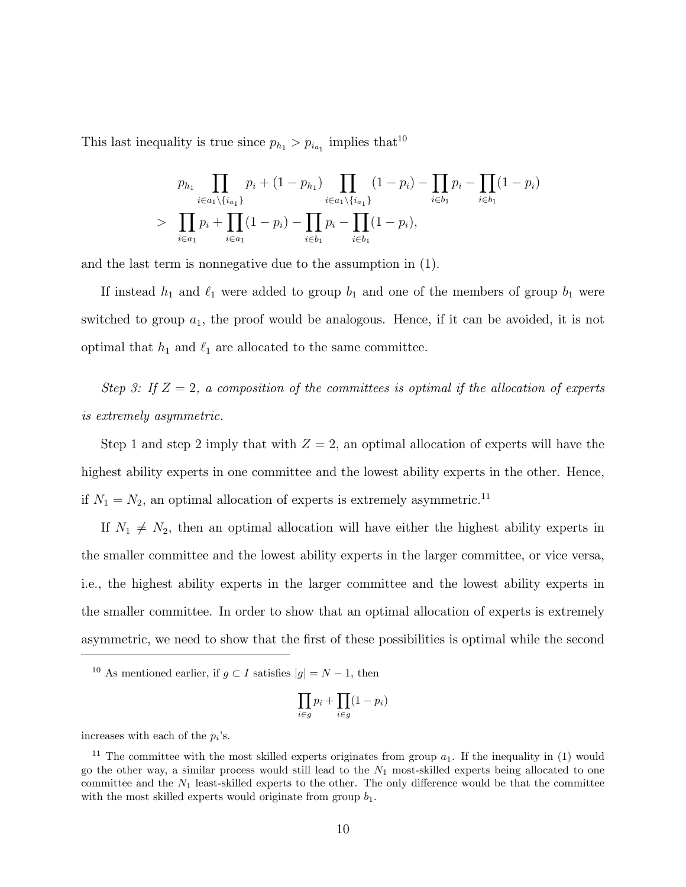This last inequality is true since  $p_{h_1} > p_{i_{a_1}}$  implies that<sup>10</sup>

$$
p_{h_1} \prod_{i \in a_1 \setminus \{i_{a_1}\}} p_i + (1 - p_{h_1}) \prod_{i \in a_1 \setminus \{i_{a_1}\}} (1 - p_i) - \prod_{i \in b_1} p_i - \prod_{i \in b_1} (1 - p_i)
$$
  
> 
$$
\prod_{i \in a_1} p_i + \prod_{i \in a_1} (1 - p_i) - \prod_{i \in b_1} p_i - \prod_{i \in b_1} (1 - p_i),
$$

and the last term is nonnegative due to the assumption in (1).

If instead  $h_1$  and  $\ell_1$  were added to group  $b_1$  and one of the members of group  $b_1$  were switched to group  $a_1$ , the proof would be analogous. Hence, if it can be avoided, it is not optimal that  $h_1$  and  $\ell_1$  are allocated to the same committee.

Step 3: If  $Z = 2$ , a composition of the committees is optimal if the allocation of experts is extremely asymmetric.

Step 1 and step 2 imply that with  $Z = 2$ , an optimal allocation of experts will have the highest ability experts in one committee and the lowest ability experts in the other. Hence, if  $N_1 = N_2$ , an optimal allocation of experts is extremely asymmetric.<sup>11</sup>

If  $N_1 \neq N_2$ , then an optimal allocation will have either the highest ability experts in the smaller committee and the lowest ability experts in the larger committee, or vice versa, i.e., the highest ability experts in the larger committee and the lowest ability experts in the smaller committee. In order to show that an optimal allocation of experts is extremely asymmetric, we need to show that the first of these possibilities is optimal while the second

$$
\prod_{i\in g} p_i + \prod_{i\in g} (1-p_i)
$$

increases with each of the  $p_i$ 's.

<sup>&</sup>lt;sup>10</sup> As mentioned earlier, if  $g \subset I$  satisfies  $|g| = N - 1$ , then

<sup>&</sup>lt;sup>11</sup> The committee with the most skilled experts originates from group  $a_1$ . If the inequality in (1) would go the other way, a similar process would still lead to the  $N_1$  most-skilled experts being allocated to one committee and the  $N_1$  least-skilled experts to the other. The only difference would be that the committee with the most skilled experts would originate from group  $b_1$ .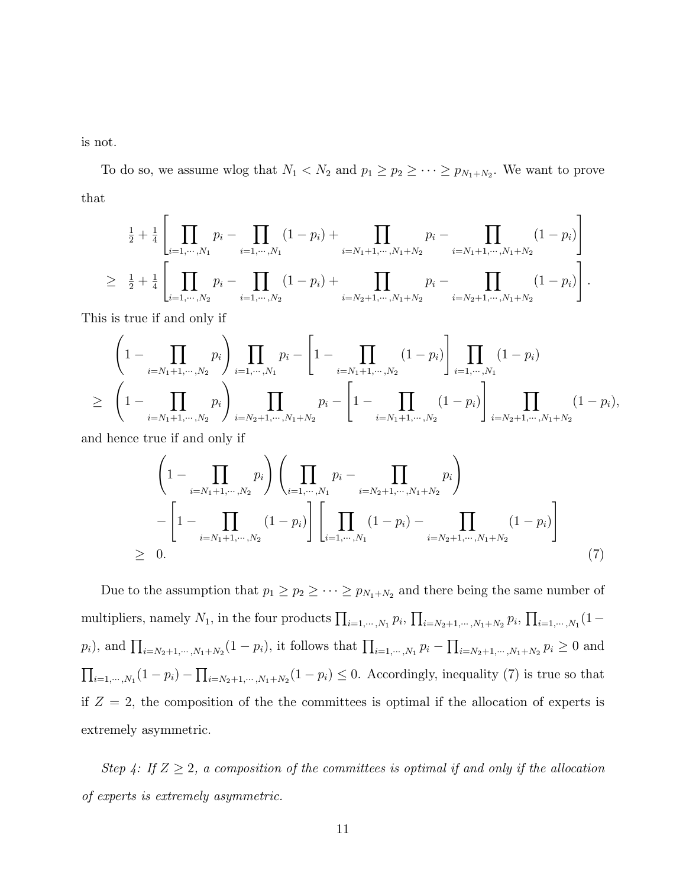is not.

To do so, we assume wlog that  $N_1 < N_2$  and  $p_1 \ge p_2 \ge \cdots \ge p_{N_1+N_2}$ . We want to prove that

$$
\frac{1}{2} + \frac{1}{4} \left[ \prod_{i=1,\dots,N_1} p_i - \prod_{i=1,\dots,N_1} (1-p_i) + \prod_{i=N_1+1,\dots,N_1+N_2} p_i - \prod_{i=N_1+1,\dots,N_1+N_2} (1-p_i) \right]
$$
\n
$$
\geq \frac{1}{2} + \frac{1}{4} \left[ \prod_{i=1,\dots,N_2} p_i - \prod_{i=1,\dots,N_2} (1-p_i) + \prod_{i=N_2+1,\dots,N_1+N_2} p_i - \prod_{i=N_2+1,\dots,N_1+N_2} (1-p_i) \right].
$$

This is true if and only if

$$
\left(1 - \prod_{i=N_1+1,\dots,N_2} p_i\right) \prod_{i=1,\dots,N_1} p_i - \left[1 - \prod_{i=N_1+1,\dots,N_2} (1-p_i)\right] \prod_{i=1,\dots,N_1} (1-p_i)
$$
  
\n
$$
\geq \left(1 - \prod_{i=N_1+1,\dots,N_2} p_i\right) \prod_{i=N_2+1,\dots,N_1+N_2} p_i - \left[1 - \prod_{i=N_1+1,\dots,N_2} (1-p_i)\right] \prod_{i=N_2+1,\dots,N_1+N_2} (1-p_i),
$$

and hence true if and only if

$$
\left(1 - \prod_{i=N_1+1,\dots,N_2} p_i\right) \left(\prod_{i=1,\dots,N_1} p_i - \prod_{i=N_2+1,\dots,N_1+N_2} p_i\right) \n- \left[1 - \prod_{i=N_1+1,\dots,N_2} (1-p_i)\right] \left[\prod_{i=1,\dots,N_1} (1-p_i) - \prod_{i=N_2+1,\dots,N_1+N_2} (1-p_i)\right] \n\geq 0.
$$
\n(7)

Due to the assumption that  $p_1 \geq p_2 \geq \cdots \geq p_{N_1+N_2}$  and there being the same number of multipliers, namely  $N_1$ , in the four products  $\prod_{i=1,\cdots,N_1} p_i$ ,  $\prod_{i=N_2+1,\cdots,N_1+N_2} p_i$ ,  $\prod_{i=1,\cdots,N_1} (1-q_i)^{N_1}$  $p_i$ , and  $\prod_{i=N_2+1,\cdots,N_1+N_2}(1-p_i)$ , it follows that  $\prod_{i=1,\cdots,N_1} p_i - \prod_{i=N_2+1,\cdots,N_1+N_2} p_i \geq 0$  and  $\prod_{i=1,\dots,N_1}(1-p_i) - \prod_{i=N_2+1,\dots,N_1+N_2}(1-p_i) \leq 0$ . Accordingly, inequality (7) is true so that if  $Z = 2$ , the composition of the the committees is optimal if the allocation of experts is extremely asymmetric.

Step 4: If  $Z \geq 2$ , a composition of the committees is optimal if and only if the allocation of experts is extremely asymmetric.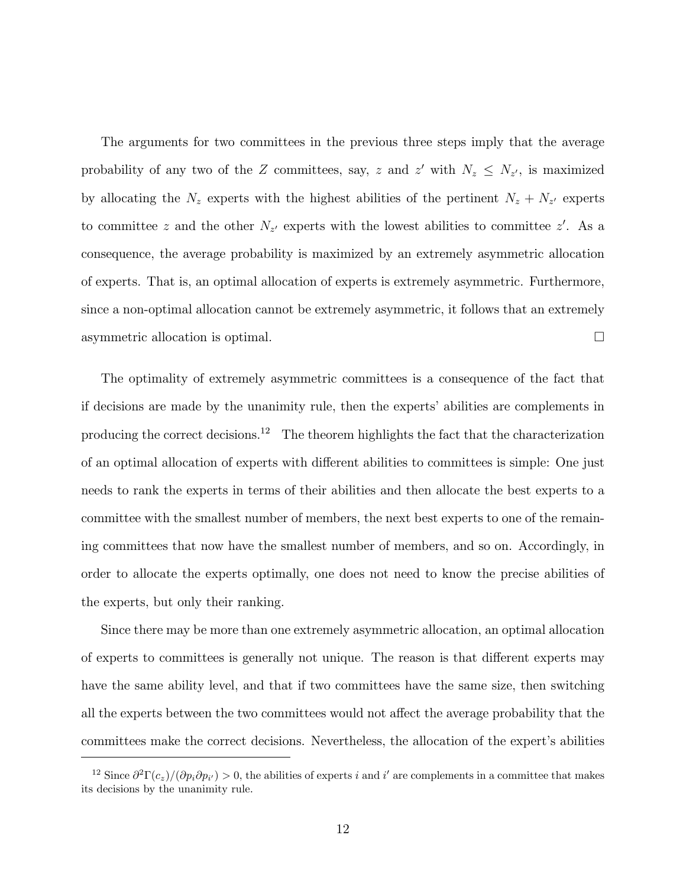The arguments for two committees in the previous three steps imply that the average probability of any two of the Z committees, say, z and z' with  $N_z \leq N_{z'}$ , is maximized by allocating the  $N_z$  experts with the highest abilities of the pertinent  $N_z + N_{z'}$  experts to committee z and the other  $N_{z'}$  experts with the lowest abilities to committee z'. As a consequence, the average probability is maximized by an extremely asymmetric allocation of experts. That is, an optimal allocation of experts is extremely asymmetric. Furthermore, since a non-optimal allocation cannot be extremely asymmetric, it follows that an extremely asymmetric allocation is optimal.

The optimality of extremely asymmetric committees is a consequence of the fact that if decisions are made by the unanimity rule, then the experts' abilities are complements in producing the correct decisions.<sup>12</sup> The theorem highlights the fact that the characterization of an optimal allocation of experts with different abilities to committees is simple: One just needs to rank the experts in terms of their abilities and then allocate the best experts to a committee with the smallest number of members, the next best experts to one of the remaining committees that now have the smallest number of members, and so on. Accordingly, in order to allocate the experts optimally, one does not need to know the precise abilities of the experts, but only their ranking.

Since there may be more than one extremely asymmetric allocation, an optimal allocation of experts to committees is generally not unique. The reason is that different experts may have the same ability level, and that if two committees have the same size, then switching all the experts between the two committees would not affect the average probability that the committees make the correct decisions. Nevertheless, the allocation of the expert's abilities

<sup>&</sup>lt;sup>12</sup> Since  $\partial^2 \Gamma(c_z)/(\partial p_i \partial p_{i'}) > 0$ , the abilities of experts i and i' are complements in a committee that makes its decisions by the unanimity rule.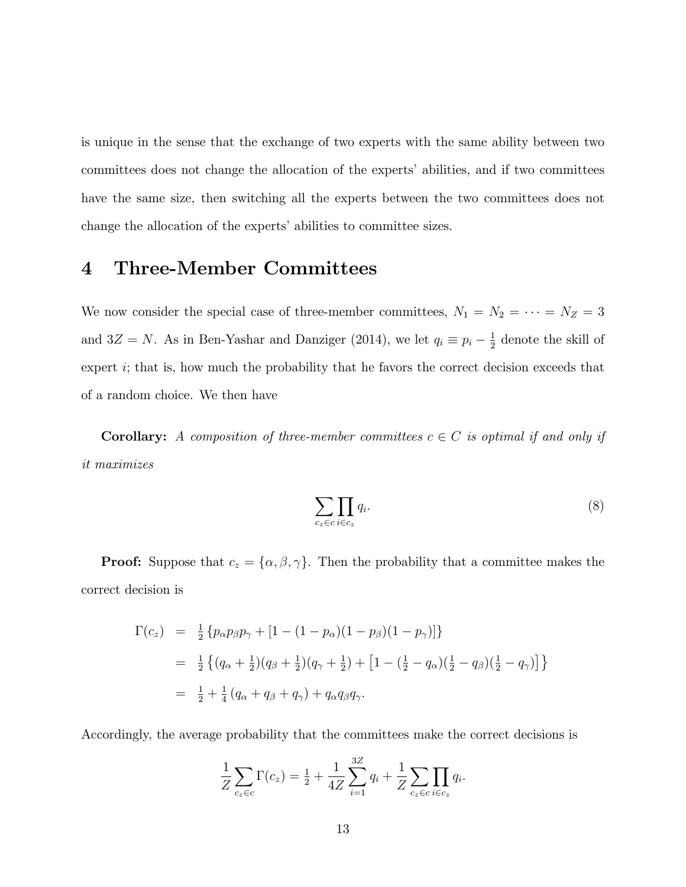is unique in the sense that the exchange of two experts with the same ability between two committees does not change the allocation of the experts' abilities, and if two committees have the same size, then switching all the experts between the two committees does not change the allocation of the experts' abilities to committee sizes.

#### 4 Three-Member Committees

We now consider the special case of three-member committees,  $N_1 = N_2 = \cdots = N_Z = 3$ and  $3Z = N$ . As in Ben-Yashar and Danziger (2014), we let  $q_i \equiv p_i - \frac{1}{2}$  $\frac{1}{2}$  denote the skill of expert i; that is, how much the probability that he favors the correct decision exceeds that of a random choice. We then have

**Corollary:** A composition of three-member committees  $c \in C$  is optimal if and only if it maximizes

$$
\sum_{c_z \in c} \prod_{i \in c_z} q_i.
$$
 (8)

**Proof:** Suppose that  $c_z = {\alpha, \beta, \gamma}$ . Then the probability that a committee makes the correct decision is

$$
\Gamma(c_z) = \frac{1}{2} \{ p_{\alpha} p_{\beta} p_{\gamma} + [1 - (1 - p_{\alpha})(1 - p_{\beta})(1 - p_{\gamma})] \}
$$
  
\n
$$
= \frac{1}{2} \{ (q_{\alpha} + \frac{1}{2})(q_{\beta} + \frac{1}{2})(q_{\gamma} + \frac{1}{2}) + [1 - (\frac{1}{2} - q_{\alpha})(\frac{1}{2} - q_{\beta})(\frac{1}{2} - q_{\gamma})] \}
$$
  
\n
$$
= \frac{1}{2} + \frac{1}{4} (q_{\alpha} + q_{\beta} + q_{\gamma}) + q_{\alpha} q_{\beta} q_{\gamma}.
$$

Accordingly, the average probability that the committees make the correct decisions is

$$
\frac{1}{Z} \sum_{c_z \in c} \Gamma(c_z) = \frac{1}{2} + \frac{1}{4Z} \sum_{i=1}^{3Z} q_i + \frac{1}{Z} \sum_{c_z \in c} \prod_{i \in c_z} q_i.
$$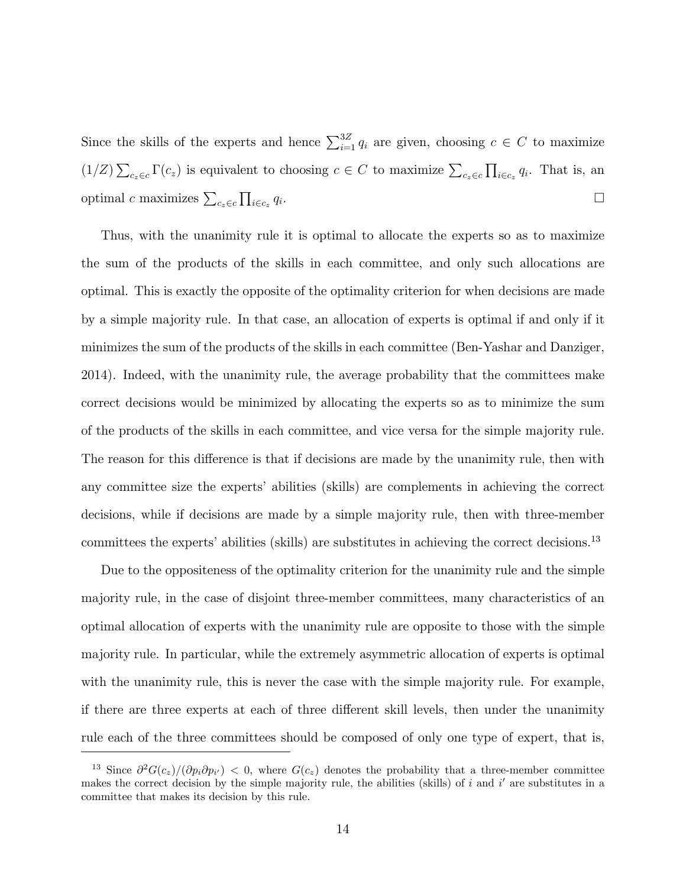Since the skills of the experts and hence  $\sum_{i=1}^{3Z} q_i$  are given, choosing  $c \in C$  to maximize  $(1/Z)\sum_{c_z\in c} \Gamma(c_z)$  is equivalent to choosing  $c \in C$  to maximize  $\sum_{c_z\in c} \prod_{i\in c_z} q_i$ . That is, an optimal c maximizes  $\sum_{c_z \in c} \prod_{i \in c_z} q_i$ .

Thus, with the unanimity rule it is optimal to allocate the experts so as to maximize the sum of the products of the skills in each committee, and only such allocations are optimal. This is exactly the opposite of the optimality criterion for when decisions are made by a simple majority rule. In that case, an allocation of experts is optimal if and only if it minimizes the sum of the products of the skills in each committee (Ben-Yashar and Danziger, 2014). Indeed, with the unanimity rule, the average probability that the committees make correct decisions would be minimized by allocating the experts so as to minimize the sum of the products of the skills in each committee, and vice versa for the simple majority rule. The reason for this difference is that if decisions are made by the unanimity rule, then with any committee size the experts' abilities (skills) are complements in achieving the correct decisions, while if decisions are made by a simple majority rule, then with three-member committees the experts' abilities (skills) are substitutes in achieving the correct decisions.<sup>13</sup>

Due to the oppositeness of the optimality criterion for the unanimity rule and the simple majority rule, in the case of disjoint three-member committees, many characteristics of an optimal allocation of experts with the unanimity rule are opposite to those with the simple majority rule. In particular, while the extremely asymmetric allocation of experts is optimal with the unanimity rule, this is never the case with the simple majority rule. For example, if there are three experts at each of three different skill levels, then under the unanimity rule each of the three committees should be composed of only one type of expert, that is,

<sup>&</sup>lt;sup>13</sup> Since  $\partial^2 G(c_z)/(\partial p_i \partial p_{i'}) < 0$ , where  $G(c_z)$  denotes the probability that a three-member committee makes the correct decision by the simple majority rule, the abilities (skills) of i and i' are substitutes in a committee that makes its decision by this rule.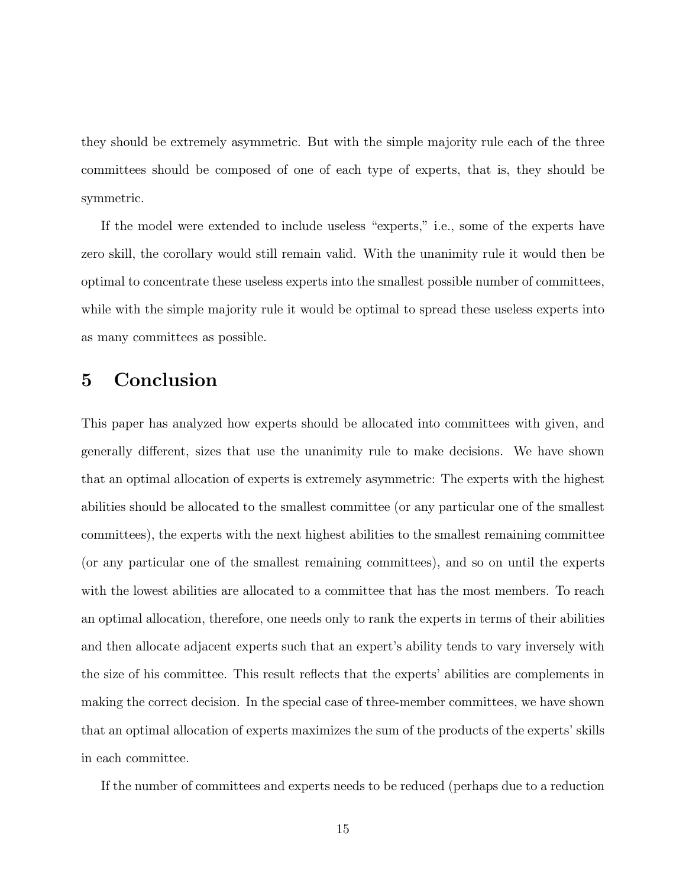they should be extremely asymmetric. But with the simple majority rule each of the three committees should be composed of one of each type of experts, that is, they should be symmetric.

If the model were extended to include useless "experts," i.e., some of the experts have zero skill, the corollary would still remain valid. With the unanimity rule it would then be optimal to concentrate these useless experts into the smallest possible number of committees, while with the simple majority rule it would be optimal to spread these useless experts into as many committees as possible.

#### 5 Conclusion

This paper has analyzed how experts should be allocated into committees with given, and generally different, sizes that use the unanimity rule to make decisions. We have shown that an optimal allocation of experts is extremely asymmetric: The experts with the highest abilities should be allocated to the smallest committee (or any particular one of the smallest committees), the experts with the next highest abilities to the smallest remaining committee (or any particular one of the smallest remaining committees), and so on until the experts with the lowest abilities are allocated to a committee that has the most members. To reach an optimal allocation, therefore, one needs only to rank the experts in terms of their abilities and then allocate adjacent experts such that an expert's ability tends to vary inversely with the size of his committee. This result reflects that the experts' abilities are complements in making the correct decision. In the special case of three-member committees, we have shown that an optimal allocation of experts maximizes the sum of the products of the experts' skills in each committee.

If the number of committees and experts needs to be reduced (perhaps due to a reduction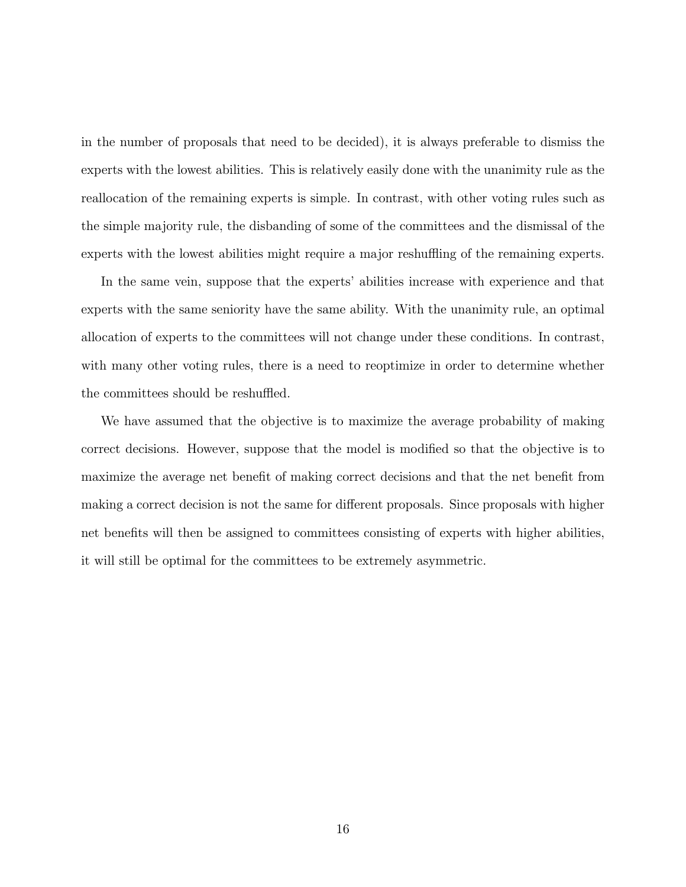in the number of proposals that need to be decided), it is always preferable to dismiss the experts with the lowest abilities. This is relatively easily done with the unanimity rule as the reallocation of the remaining experts is simple. In contrast, with other voting rules such as the simple majority rule, the disbanding of some of the committees and the dismissal of the experts with the lowest abilities might require a major reshuffling of the remaining experts.

In the same vein, suppose that the experts' abilities increase with experience and that experts with the same seniority have the same ability. With the unanimity rule, an optimal allocation of experts to the committees will not change under these conditions. In contrast, with many other voting rules, there is a need to reoptimize in order to determine whether the committees should be reshuffled.

We have assumed that the objective is to maximize the average probability of making correct decisions. However, suppose that the model is modied so that the objective is to maximize the average net benefit of making correct decisions and that the net benefit from making a correct decision is not the same for different proposals. Since proposals with higher net benefits will then be assigned to committees consisting of experts with higher abilities, it will still be optimal for the committees to be extremely asymmetric.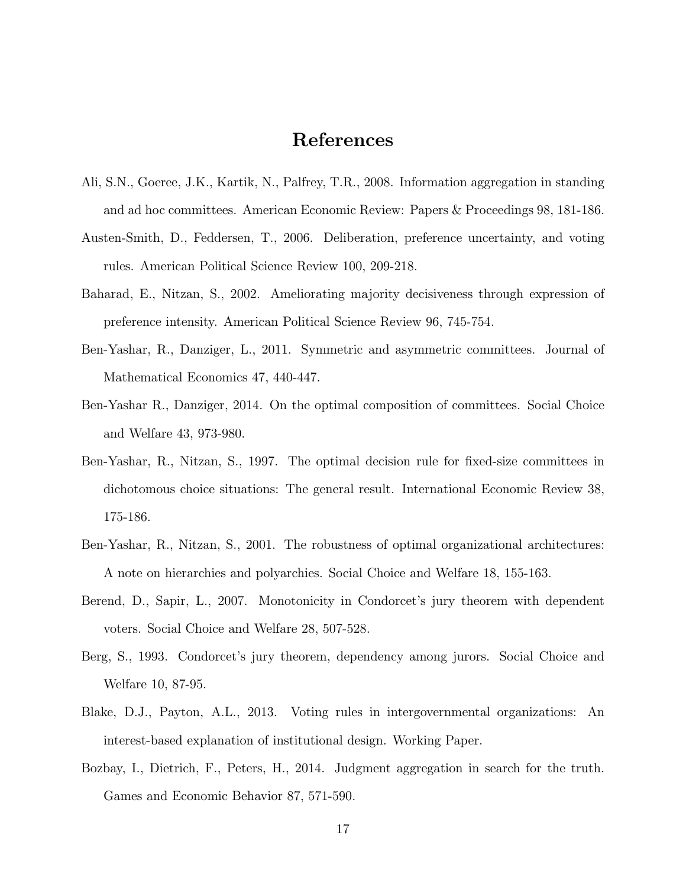## References

- Ali, S.N., Goeree, J.K., Kartik, N., Palfrey, T.R., 2008. Information aggregation in standing and ad hoc committees. American Economic Review: Papers & Proceedings 98, 181-186.
- Austen-Smith, D., Feddersen, T., 2006. Deliberation, preference uncertainty, and voting rules. American Political Science Review 100, 209-218.
- Baharad, E., Nitzan, S., 2002. Ameliorating majority decisiveness through expression of preference intensity. American Political Science Review 96, 745-754.
- Ben-Yashar, R., Danziger, L., 2011. Symmetric and asymmetric committees. Journal of Mathematical Economics 47, 440-447.
- Ben-Yashar R., Danziger, 2014. On the optimal composition of committees. Social Choice and Welfare 43, 973-980.
- Ben-Yashar, R., Nitzan, S., 1997. The optimal decision rule for fixed-size committees in dichotomous choice situations: The general result. International Economic Review 38, 175-186.
- Ben-Yashar, R., Nitzan, S., 2001. The robustness of optimal organizational architectures: A note on hierarchies and polyarchies. Social Choice and Welfare 18, 155-163.
- Berend, D., Sapir, L., 2007. Monotonicity in Condorcet's jury theorem with dependent voters. Social Choice and Welfare 28, 507-528.
- Berg, S., 1993. Condorcet's jury theorem, dependency among jurors. Social Choice and Welfare 10, 87-95.
- Blake, D.J., Payton, A.L., 2013. Voting rules in intergovernmental organizations: An interest-based explanation of institutional design. Working Paper.
- Bozbay, I., Dietrich, F., Peters, H., 2014. Judgment aggregation in search for the truth. Games and Economic Behavior 87, 571-590.